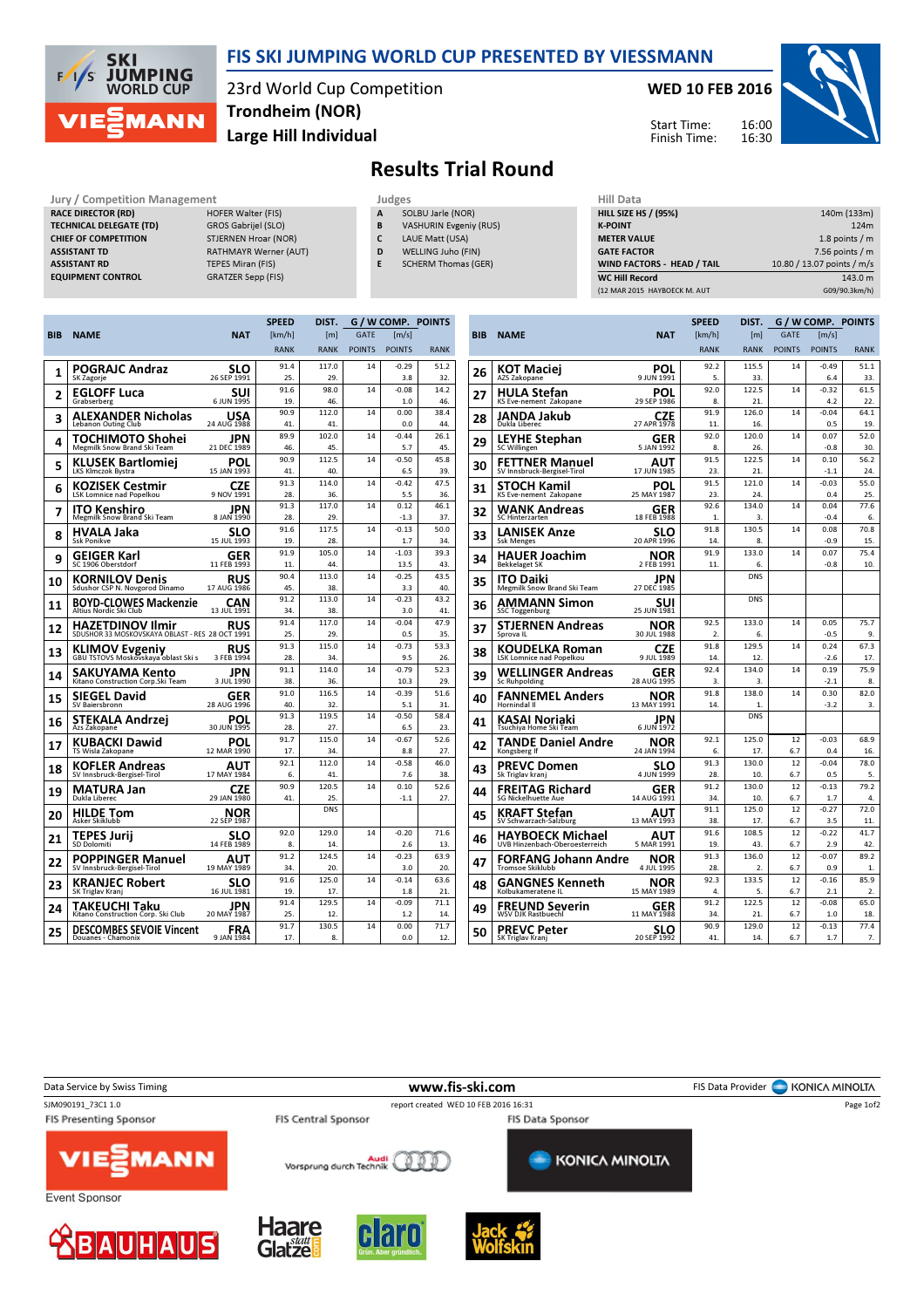

## FIS SKI JUMPING WORLD CUP PRESENTED BY VIESSMANN

23rd World Cup Competition Large Hill Individual Trondheim (NOR)

#### WED 10 FEB 2016



Start Time: Finish Time:

# Results Trial Round

Jury / Competition Management Judges Judges Hill Dat<br>
RACE DIRECTOR (RD) HILL SIZE HOFER Walter (FIS) A SOLBU Jarle (NOR) HILL SIZE RACE DIRECTOR (RD) TECHNICAL DELEGATE (TD) GROS Gabrijel (SLO) CHIEF OF COMPETITION STJERNEN Hroar (NOR) **ASSISTANT TD** RATHMAYR Werner (AUT) ASSISTANT RD TEPES Miran (FIS) EQUIPMENT CONTROL GRATZER Sepp (FIS)

- 
- SOLBU Jarle (NOR)
- B VASHURIN Evgeniy (RUS)
- C LAUE Matt (USA)
- D WELLING Juho (FIN)
- E SCHERM Thomas (GER)

| niil Data                         |                            |
|-----------------------------------|----------------------------|
| <b>HILL SIZE HS / (95%)</b>       | 140m (133m)                |
| <b>K-POINT</b>                    | 124m                       |
| <b>METER VALUE</b>                | 1.8 points $/m$            |
| <b>GATE FACTOR</b>                | $7.56$ points / m          |
| <b>WIND FACTORS - HEAD / TAIL</b> | 10.80 / 13.07 points / m/s |
| <b>WC Hill Record</b>             | 143.0 m                    |
| (12 MAR 2015 HAYBOECK M. AUT      | G09/90.3km/h)              |

|     |                                                                            |                    | <b>SPEED</b> | DIST.            |               |                     | G / W COMP. POINTS |  |
|-----|----------------------------------------------------------------------------|--------------------|--------------|------------------|---------------|---------------------|--------------------|--|
| BIB | <b>NAME</b>                                                                | <b>NAT</b>         | [km/h]       | [ <sub>m</sub> ] | <b>GATE</b>   | $\lceil m/s \rceil$ |                    |  |
|     |                                                                            |                    | <b>RANK</b>  | <b>RANK</b>      | <b>POINTS</b> | <b>POINTS</b>       | <b>RANK</b>        |  |
|     | POGRAJC Andraz                                                             | SLO                | 91.4         | 117.0            | 14            | $-0.29$             | 51.2               |  |
| 1   | SK Zagorje                                                                 | 26 SEP 1991        | 25.          | 29.              |               | 3.8                 | 32.                |  |
| 2   | <b>EGLOFF Luca</b>                                                         | SUI                | 91.6         | 98.0             | 14            | $-0.08$             | 14.2               |  |
|     | Grabserberg                                                                | 6 JUN 1995         | 19.          | 46.              |               | 1.0                 | 46.                |  |
| 3   | <b>ALEXANDER Nicholas</b>                                                  | <b>USA</b>         | 90.9         | 112.0            | 14            | 0.00                | 38.4               |  |
|     | <b>Lebanon Outing Club</b>                                                 | 24 AUG 1988        | 41.          | 41.              |               | 0.0                 | 44.                |  |
| 4   | TOCHIMOTO Shohei                                                           | JPN                | 89.9         | 102.0            | 14            | $-0.44$             | 26.1               |  |
|     | Megmilk Snow Brand Ski Team                                                | 21 DEC 1989        | 46.          | 45.              |               | 5.7                 | 45.                |  |
| 5   | KLUSEK Bartlomiei<br><b>LKS Klmczok Bystra</b>                             | POL<br>15 JAN 1993 | 90.9<br>41.  | 112.5<br>40      | 14            | $-0.50$<br>6.5      | 45.8<br>39.        |  |
|     | KOZISEK Cestmir                                                            | CZE                | 91.3         | 114.0            | 14            | $-0.42$             | 47.5               |  |
| 6   | LSK Lomnice nad Popelkou                                                   | 9 NOV 1991         | 28.          | 36.              |               | 5.5                 | 36.                |  |
|     | ITO Kenshiro                                                               | JPN                | 91.3         | 117.0            | 14            | 0.12                | 46.1               |  |
| 7   | Megmilk Snow Brand Ski Team                                                | 8 JAN 1990         | 28.          | 29.              |               | $-1.3$              | 37.                |  |
| 8   | HVALA Jaka                                                                 | slo                | 91.6         | 117.5            | 14            | $-0.13$             | 50.0               |  |
|     | <b>Ssk Ponikve</b>                                                         | 15 JUL 1993        | 19.          | 28.              |               | 1.7                 | 34.                |  |
| 9   | GEIGER Karl                                                                | GER                | 91.9         | 105.0            | 14            | $-1.03$             | 39.3               |  |
|     | SC 1906 Oberstdorf                                                         | 11 FEB 1993        | 11.          | 44.              |               | 13.5                | 43.                |  |
| 10  | <b>KORNILOV Denis</b>                                                      | <b>RUS</b>         | 90.4         | 113.0            | 14            | $-0.25$             | 43.5               |  |
|     | Sdushor CSP N. Novgorod Dinamo                                             | 17 AUG 1986        | 45.          | 38.              |               | 3.3                 | 40.                |  |
| 11  | <b>BOYD-CLOWES Mackenzie</b><br>Altius Nordic Ski Club                     | CAN<br>13 JUL 1991 | 91.2<br>34.  | 113.0<br>38.     | 14            | $-0.23$<br>3.0      | 43.2<br>41.        |  |
|     |                                                                            |                    | 91.4         | 117.0            | 14            | $-0.04$             | 47.9               |  |
| 12  | <b>HAZETDINOV Ilmir</b><br>SDUSHOR 33 MOSKOVSKAYA OBLAST - RES 28 OCT 1991 | RUS                | 25.          | 29.              |               | 0.5                 | 35.                |  |
|     |                                                                            |                    | 91.3         | 115.0            | 14            | $-0.73$             | 53.3               |  |
| 13  | <b>KLIMOV Evgeniy</b><br>GBU TSTOVS Moskovskaya oblast Ski s               | RUS<br>3 FEB 1994  | 28.          | 34.              |               | 9.5                 | 26.                |  |
|     | SAKUYAMA Kento                                                             | JPN                | 91.1         | 114.0            | 14            | $-0.79$             | 52.3               |  |
| 14  | Kitano Construction Corp.Ski Team                                          | 3 JUL 1990         | 38.          | 36.              |               | 10.3                | 29.                |  |
| 15  | SIEGEL David                                                               | GER                | 91.0         | 116.5            | 14            | $-0.39$             | 51.6               |  |
|     | SV Baiersbronn                                                             | 28 AUG 1996        | 40.          | 32.              |               | 5.1                 | 31.                |  |
| 16  | STEKALA Andrzei                                                            | POL                | 91.3         | 119.5            | 14            | $-0.50$             | 58.4               |  |
|     | Azs Zakopane                                                               | 30 JUN 1995        | 28.          | 27.              |               | 6.5                 | 23.                |  |
| 17  | KUBACKI Dawid                                                              | POL                | 91.7<br>17.  | 115.0<br>34.     | 14            | $-0.67$<br>8.8      | 52.6<br>27.        |  |
|     | TS Wisla Zakopane                                                          | 12 MAR 1990        | 92.1         | 112.0            | 14            | $-0.58$             | 46.0               |  |
| 18  | <b>KOFLER Andreas</b><br>SV Innsbruck-Bergisel-Tirol                       | AUT<br>17 MAY 1984 | 6.           | 41.              |               | 7.6                 | 38.                |  |
|     |                                                                            |                    | 90.9         | 120.5            | 14            | 0.10                | 52.6               |  |
| 19  | <b>MATURA Jan</b><br>Dukla Liberec                                         | CZE<br>29 JAN 1980 | 41.          | 25.              |               | $-1.1$              | 27.                |  |
| 20  | <b>HILDE Tom</b>                                                           | NOR                |              | <b>DNS</b>       |               |                     |                    |  |
|     | Asker Skiklubb                                                             | 22 SEP 1987        | 92.0         | 129.0            | 14            | $-0.20$             | 71.6               |  |
| 21  | TEPES Jurij<br>SD Dolomiti                                                 | SLO<br>14 FEB 1989 | 8.           | 14.              |               | 2.6                 | 13.                |  |
|     | <b>POPPINGER Manuel</b>                                                    | AUT                | 91.2         | 124.5            | 14            | $-0.23$             | 63.9               |  |
| 22  | SV Innsbruck-Bergisel-Tirol                                                | 19 MAY 1989        | 34.          | 20.              |               | 3.0                 | 20.                |  |
| 23  | <b>KRANJEC Robert</b>                                                      | SLO                | 91.6         | 125.0            | 14            | $-0.14$             | 63.6               |  |
|     | SK Triglav Kranj                                                           | 16 JUL 1981        | 19.          | 17.              |               | 1.8                 | 21.                |  |
| 24  | TAKEUCHI Taku                                                              | JPN                | 91.4         | 129.5            | 14            | $-0.09$             | 71.1               |  |
|     | Kitano Construction Corp. Ski Club                                         | 20 MAY 1987        | 25.          | 12.              |               | 1.2                 | 14.                |  |
| 25  | <b>DESCOMBES SEVOIE Vincent</b>                                            | FRA                | 91.7         | 130.5            | 14            | 0.00                | 71.7               |  |
|     | Douanes - Chamonix                                                         | 9 JAN 1984         | 17.          | 8.               |               | 0.0                 | 12.                |  |

|     |                                                    |                           | <b>SPEED</b>     | DIST.            |               | G / W COMP. POINTS |                        |
|-----|----------------------------------------------------|---------------------------|------------------|------------------|---------------|--------------------|------------------------|
| BIB | <b>NAME</b>                                        | <b>NAT</b>                | [km/h]           | [ <sub>m</sub> ] | <b>GATE</b>   | [m/s]              |                        |
|     |                                                    |                           | <b>RANK</b>      | <b>RANK</b>      | <b>POINTS</b> | <b>POINTS</b>      | <b>RANK</b>            |
| 26  | KOT Maciei                                         | POL                       | 92.2             | 115.5            | 14            | $-0.49$            | 51.1                   |
|     | AZS Zakopane                                       | 9 JUN 1991                | 5.               | 33.              |               | 6.4                | 33.                    |
| 27  | HULA Stefan                                        | POL                       | 92.0             | 122.5            | 14            | $-0.32$            | 61.5                   |
|     | KS Eve-nement Zakopane                             | 29 SEP 1986               | 8.<br>91.9       | 21.<br>126.0     | 14            | 4.2<br>$-0.04$     | 22.<br>64.1            |
| 28  | JANDA Jakub<br>Dukla Liberec                       | <b>CZE</b><br>27 APR 1978 | 11.              | 16.              |               | 0.5                | 19.                    |
| 29  | <b>LEYHE Stephan</b><br>SC Willingen               | GER<br>5 JAN 1992         | 92.0<br>8.       | 120.0<br>26.     | 14            | 0.07<br>$-0.8$     | 52.0<br>30.            |
|     | FETTNER Manuel                                     | AUT                       | 91.5             | 122.5            | 14            | 0.10               | 56.2                   |
| 30  | SV Innsbruck-Bergisel-Tirol                        | 17 JUN 1985               | 23.              | 21.              |               | $-1.1$             | 24.                    |
| 31  | STOCH Kamil                                        | POL                       | 91.5             | 121.0            | 14            | -0.03              | 55.0                   |
|     | KS Eve-nement Zakopane                             | 25 MAY 1987               | 23.              | 24.              |               | 0.4                | 25.                    |
| 32  | WANK Andreas                                       | GER                       | 92.6             | 134.0            | 14            | 0.04               | 77.6                   |
|     | SC Hinterzarten                                    | 18 FEB 1988               | 1.               | 3.               |               | $-0.4$             | 6.                     |
| 33  | LANISEK Anze<br><b>Ssk Menges</b>                  | SLO<br>20 APR 1996        | 91.8<br>14.      | 130.5<br>8.      | 14            | 0.08<br>$-0.9$     | 70.8<br>15.            |
|     | <b>HAUER Joachim</b>                               | NOR                       | 91.9             | 133.0            | 14            | 0.07               | 75.4                   |
| 34  | <b>Bekkelaget SK</b>                               | 2 FEB 1991                | 11.              | 6.               |               | $-0.8$             | 10.                    |
| 35  | ITO Daiki<br>Megmilk Snow Brand Ski Team           | JPN<br>27 DEC 1985        |                  | <b>DNS</b>       |               |                    |                        |
| 36  | AMMANN Simon<br>SSC Toggenburg                     | suı<br>25 JUN 1981        |                  | <b>DNS</b>       |               |                    |                        |
| 37  | STJERNEN Andreas                                   | NOR                       | 92.5             | 133.0            | 14            | 0.05               | 75.7                   |
|     | Sprova IL                                          | 30 JUL 1988               | $\overline{2}$ . | 6.               |               | $-0.5$             | 9.                     |
| 38  | KOUDELKA Roman<br>LSK Lomnice nad Popelkou         | CZE<br>9 JUL 1989         | 91.8<br>14.      | 129.5<br>12.     | 14            | 0.24<br>$-2.6$     | 67.3<br>17.            |
| 39  | WELLINGER Andreas                                  | GER                       | 92.4             | 134.0            | 14            | 0.19               | 75.9                   |
|     | Sc Ruhpolding                                      | 28 AUG 1995               | 3.               | 3.               |               | $-2.1$             | 8.                     |
| 40  | <b>FANNEMEL Anders</b>                             | NOR                       | 91.8             | 138.0            | 14            | 0.30               | 82.0                   |
|     | Hornindal II                                       | 13 MAY 1991               | 14.              | 1.<br><b>DNS</b> |               | $-3.2$             | 3.                     |
| 41  | KASAI Noriaki<br>Tsuchiya Home Ski Team            | JPN<br>6 JUN 1972         |                  |                  |               |                    |                        |
| 42  | TANDE Daniel Andre<br>Kongsberg If                 | NOR<br>24 JAN 1994        | 92.1<br>6.       | 125.0<br>17.     | 12<br>6.7     | $-0.03$<br>0.4     | 68.9<br>16.            |
|     |                                                    |                           | 91.3             | 130.0            | 12            | $-0.04$            | 78.0                   |
| 43  | <b>PREVC Domen</b><br>Sk Triglav kranj             | SLO<br>4 JUN 1999         | 28.              | 10.              | 6.7           | 0.5                | 5.                     |
| 44  | FREITAG Richard                                    | GER                       | 91.2             | 130.0            | 12            | $-0.13$            | 79.2                   |
|     | <b>SG Nickelhuette Aue</b>                         | 14 AUG 1991               | 34               | 10.              | 6.7           | 1.7                | 4.                     |
| 45  | KRAFT Stefan                                       | AUT                       | 91.1             | 125.0            | 12            | $-0.27$            | 72.0                   |
|     | SV Schwarzach-Salzburg                             | 13 MAY 1993               | 38.              | 17.              | 6.7<br>12     | 3.5                | 11.                    |
| 46  | HAYBOECK Michael<br>UVB Hinzenbach-Oberoesterreich | AUT<br>5 MAR 1991         | 91.6<br>19.      | 108.5<br>43.     | 6.7           | $-0.22$<br>2.9     | 41.7<br>42.            |
|     | FORFANG Johann Andre                               | NOR                       | 91.3             | 136.0            | 12            | $-0.07$            | 89.2                   |
| 47  | <b>Tromsoe Skiklubb</b>                            | 4 JUL 1995                | 28.              | 2.               | 6.7           | 0.9                | 1.                     |
| 48  | GANGNES Kenneth<br>Kolbukameratene IL              | NOR<br>15 MAY 1989        | 92.3<br>4.       | 133.5<br>5.      | 12<br>6.7     | $-0.16$<br>2.1     | 85.9<br>$\mathfrak{D}$ |
|     |                                                    |                           | 91.2             | 122.5            | 12            | $-0.08$            | 65.0                   |
| 49  | FREUND Severin<br><b>WSV DJK Rastbuechl</b>        | GER<br>11 MAY 1988        | 34.              | 21.              | 6.7           | 1.0                | 18.                    |
| 50  | <b>PREVC Peter</b>                                 | SLO <sub>20</sub> SLO     | 90.9             | 129.0            | 12            | $-0.13$            | 77.4                   |
|     | SK Triglav Kranj                                   |                           | 41.              | 14.              | 6.7           | 1.7                | 7.                     |